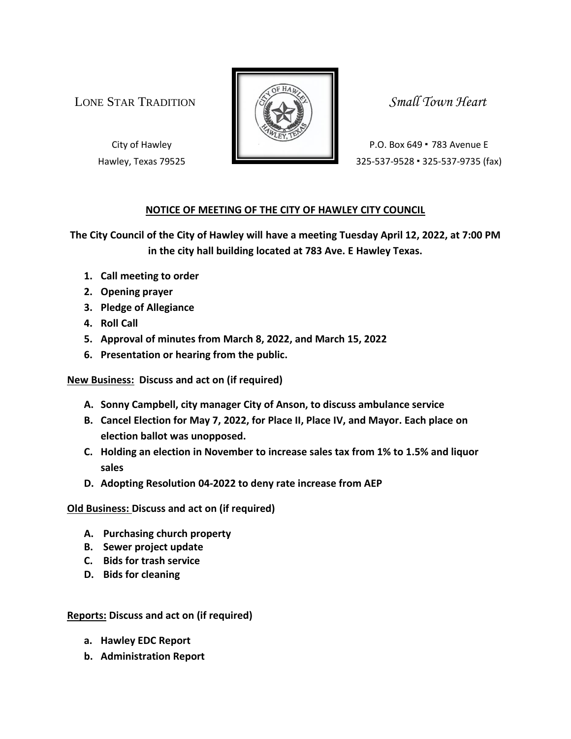LONE STAR TRADITION **SMALL SMALL** Small Town Heart



City of Hawley **P.O. Box 649 • 783 Avenue E** Hawley, Texas 79525 325-537-9528 · 325-537-9735 (fax)

## **NOTICE OF MEETING OF THE CITY OF HAWLEY CITY COUNCIL**

**The City Council of the City of Hawley will have a meeting Tuesday April 12, 2022, at 7:00 PM in the city hall building located at 783 Ave. E Hawley Texas.**

- **1. Call meeting to order**
- **2. Opening prayer**
- **3. Pledge of Allegiance**
- **4. Roll Call**
- **5. Approval of minutes from March 8, 2022, and March 15, 2022**
- **6. Presentation or hearing from the public.**

**New Business: Discuss and act on (if required)**

- **A. Sonny Campbell, city manager City of Anson, to discuss ambulance service**
- **B. Cancel Election for May 7, 2022, for Place II, Place IV, and Mayor. Each place on election ballot was unopposed.**
- **C. Holding an election in November to increase sales tax from 1% to 1.5% and liquor sales**
- **D. Adopting Resolution 04-2022 to deny rate increase from AEP**

**Old Business: Discuss and act on (if required)**

- **A. Purchasing church property**
- **B. Sewer project update**
- **C. Bids for trash service**
- **D. Bids for cleaning**

**Reports: Discuss and act on (if required)**

- **a. Hawley EDC Report**
- **b. Administration Report**